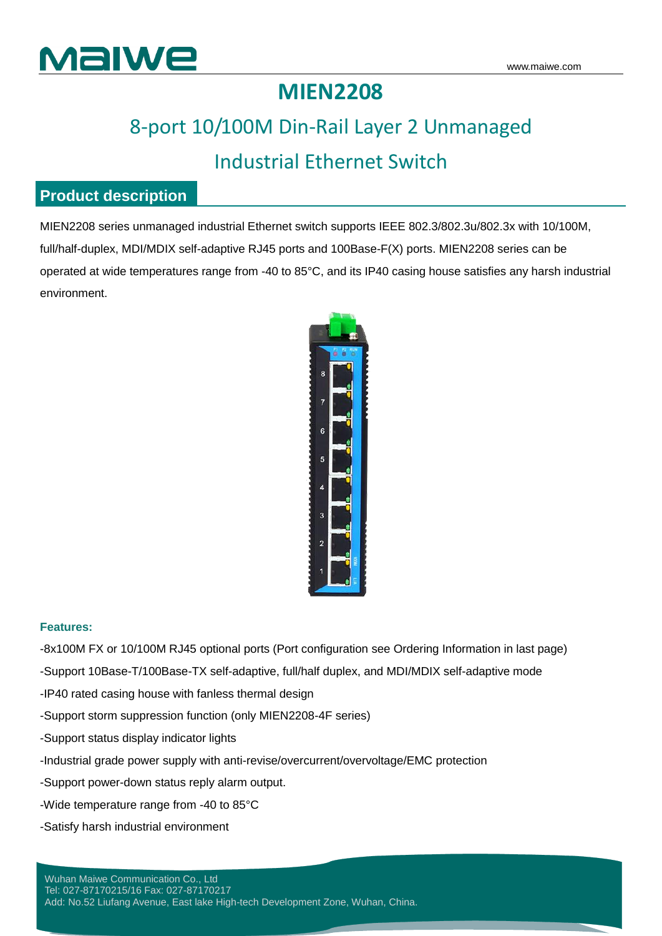

### **MIEN2208**

## 8-port 10/100M Din-Rail Layer 2 Unmanaged Industrial Ethernet Switch

#### **Product description**

MIEN2208 series unmanaged industrial Ethernet switch supports IEEE 802.3/802.3u/802.3x with 10/100M, full/half-duplex, MDI/MDIX self-adaptive RJ45 ports and 100Base-F(X) ports. MIEN2208 series can be operated at wide temperatures range from -40 to 85°C, and its IP40 casing house satisfies any harsh industrial environment.



#### **Features:**

-8x100M FX or 10/100M RJ45 optional ports (Port configuration see Ordering Information in last page)

-Support 10Base-T/100Base-TX self-adaptive, full/half duplex, and MDI/MDIX self-adaptive mode

-IP40 rated casing house with fanless thermal design

-Support storm suppression function (only MIEN2208-4F series)

-Support status display indicator lights

-Industrial grade power supply with anti-revise/overcurrent/overvoltage/EMC protection

-Support power-down status reply alarm output.

-Wide temperature range from -40 to 85°C

-Satisfy harsh industrial environment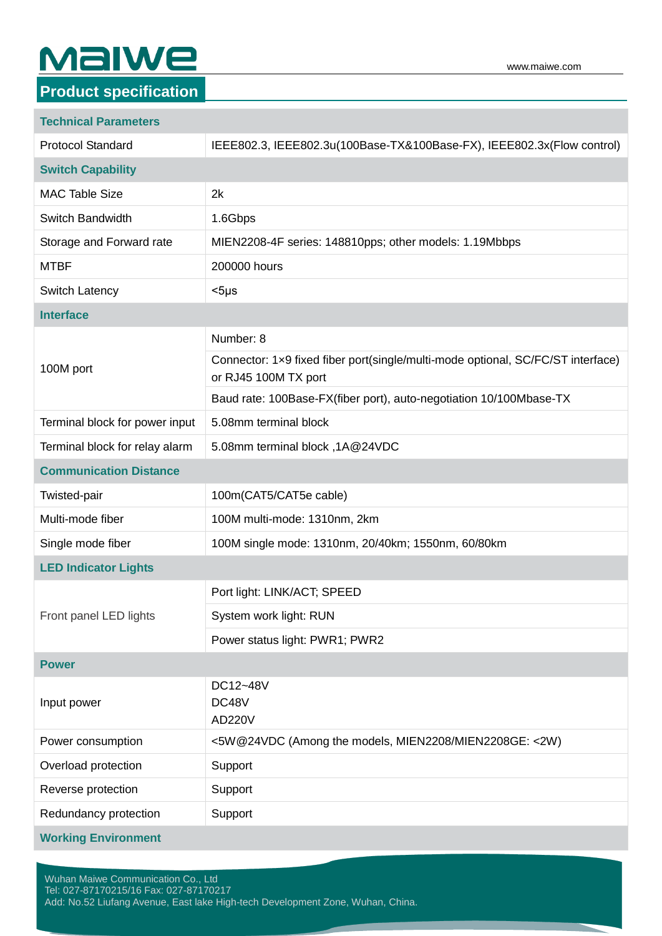# **MaIWe**

#### **Product specification**

| <b>Technical Parameters</b>    |                                                                                                         |  |
|--------------------------------|---------------------------------------------------------------------------------------------------------|--|
| <b>Protocol Standard</b>       | IEEE802.3, IEEE802.3u(100Base-TX&100Base-FX), IEEE802.3x(Flow control)                                  |  |
| <b>Switch Capability</b>       |                                                                                                         |  |
| <b>MAC Table Size</b>          | 2k                                                                                                      |  |
| Switch Bandwidth               | 1.6Gbps                                                                                                 |  |
| Storage and Forward rate       | MIEN2208-4F series: 148810pps; other models: 1.19Mbbps                                                  |  |
| <b>MTBF</b>                    | 200000 hours                                                                                            |  |
| <b>Switch Latency</b>          | $<$ 5µs                                                                                                 |  |
| <b>Interface</b>               |                                                                                                         |  |
| 100M port                      | Number: 8                                                                                               |  |
|                                | Connector: 1x9 fixed fiber port(single/multi-mode optional, SC/FC/ST interface)<br>or RJ45 100M TX port |  |
|                                | Baud rate: 100Base-FX(fiber port), auto-negotiation 10/100Mbase-TX                                      |  |
| Terminal block for power input | 5.08mm terminal block                                                                                   |  |
| Terminal block for relay alarm | 5.08mm terminal block, 1A@24VDC                                                                         |  |
| <b>Communication Distance</b>  |                                                                                                         |  |
| Twisted-pair                   | 100m(CAT5/CAT5e cable)                                                                                  |  |
| Multi-mode fiber               | 100M multi-mode: 1310nm, 2km                                                                            |  |
| Single mode fiber              | 100M single mode: 1310nm, 20/40km; 1550nm, 60/80km                                                      |  |
| <b>LED Indicator Lights</b>    |                                                                                                         |  |
| Front panel LED lights         | Port light: LINK/ACT; SPEED                                                                             |  |
|                                | System work light: RUN                                                                                  |  |
|                                | Power status light: PWR1; PWR2                                                                          |  |
| <b>Power</b>                   |                                                                                                         |  |
| Input power                    | DC12~48V<br>DC48V<br><b>AD220V</b>                                                                      |  |
| Power consumption              | <5W@24VDC (Among the models, MIEN2208/MIEN2208GE: <2W)                                                  |  |
| Overload protection            | Support                                                                                                 |  |
| Reverse protection             | Support                                                                                                 |  |
| Redundancy protection          | Support                                                                                                 |  |
| <b>Working Environment</b>     |                                                                                                         |  |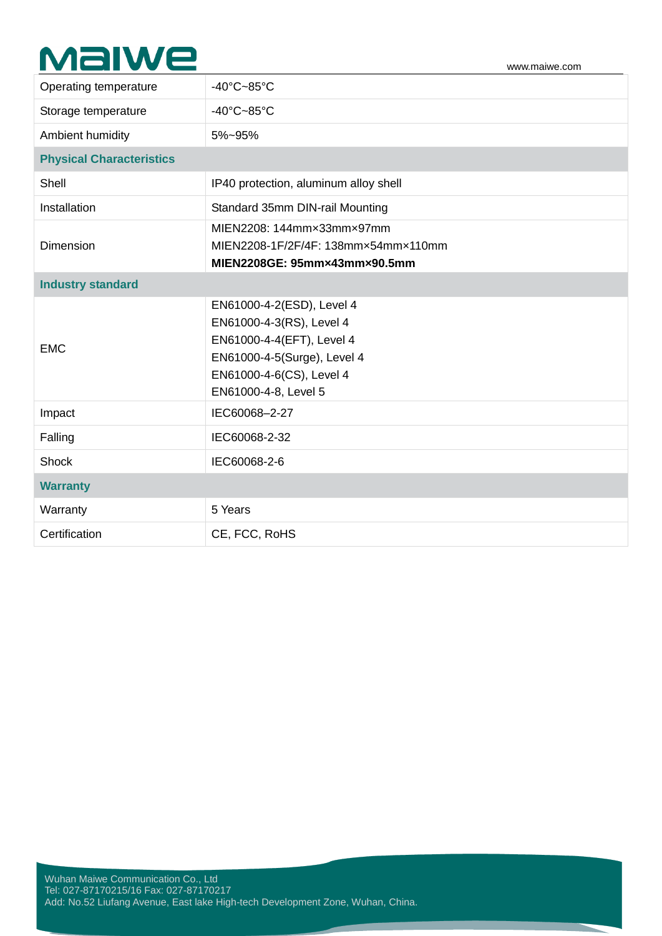## **MaIWe**

| Operating temperature           | $-40^{\circ}$ C $-85^{\circ}$ C                                                                                                                                       |  |
|---------------------------------|-----------------------------------------------------------------------------------------------------------------------------------------------------------------------|--|
| Storage temperature             | $-40^{\circ}$ C $-85^{\circ}$ C                                                                                                                                       |  |
| Ambient humidity                | 5%~95%                                                                                                                                                                |  |
| <b>Physical Characteristics</b> |                                                                                                                                                                       |  |
| Shell                           | IP40 protection, aluminum alloy shell                                                                                                                                 |  |
| Installation                    | Standard 35mm DIN-rail Mounting                                                                                                                                       |  |
| <b>Dimension</b>                | MIEN2208: 144mm×33mm×97mm<br>MIEN2208-1F/2F/4F: 138mm×54mm×110mm<br>MIEN2208GE: 95mm×43mm×90.5mm                                                                      |  |
| <b>Industry standard</b>        |                                                                                                                                                                       |  |
| <b>EMC</b>                      | EN61000-4-2(ESD), Level 4<br>EN61000-4-3(RS), Level 4<br>EN61000-4-4(EFT), Level 4<br>EN61000-4-5(Surge), Level 4<br>EN61000-4-6(CS), Level 4<br>EN61000-4-8, Level 5 |  |
| Impact                          | IEC60068-2-27                                                                                                                                                         |  |
| Falling                         | IEC60068-2-32                                                                                                                                                         |  |
| Shock                           | IEC60068-2-6                                                                                                                                                          |  |
| <b>Warranty</b>                 |                                                                                                                                                                       |  |
| Warranty                        | 5 Years                                                                                                                                                               |  |
| Certification                   | CE, FCC, RoHS                                                                                                                                                         |  |
|                                 |                                                                                                                                                                       |  |

www.maiwe.com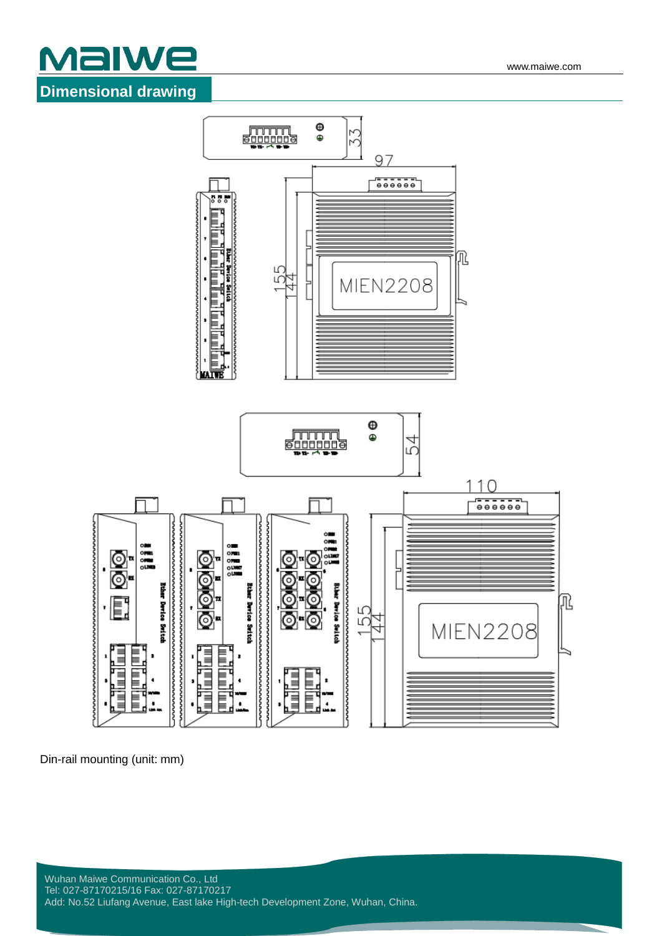





Din-rail mounting (unit: mm)

nnnnnnnnnnn